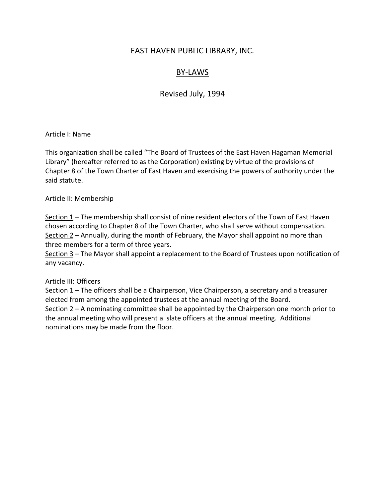## EAST HAVEN PUBLIC LIBRARY, INC.

# BY-LAWS

Revised July, 1994

Article I: Name

This organization shall be called "The Board of Trustees of the East Haven Hagaman Memorial Library" (hereafter referred to as the Corporation) existing by virtue of the provisions of Chapter 8 of the Town Charter of East Haven and exercising the powers of authority under the said statute.

Article II: Membership

Section  $1$  – The membership shall consist of nine resident electors of the Town of East Haven chosen according to Chapter 8 of the Town Charter, who shall serve without compensation. Section 2 – Annually, during the month of February, the Mayor shall appoint no more than three members for a term of three years.

Section 3 – The Mayor shall appoint a replacement to the Board of Trustees upon notification of any vacancy.

#### Article III: Officers

Section 1 – The officers shall be a Chairperson, Vice Chairperson, a secretary and a treasurer elected from among the appointed trustees at the annual meeting of the Board. Section 2 – A nominating committee shall be appointed by the Chairperson one month prior to the annual meeting who will present a slate officers at the annual meeting. Additional nominations may be made from the floor.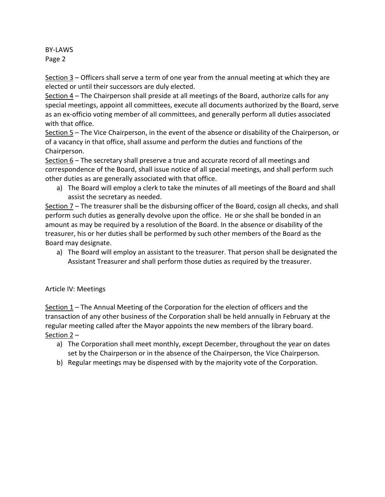BY-LAWS Page 2

Section 3 – Officers shall serve a term of one year from the annual meeting at which they are elected or until their successors are duly elected.

Section 4 – The Chairperson shall preside at all meetings of the Board, authorize calls for any special meetings, appoint all committees, execute all documents authorized by the Board, serve as an ex-officio voting member of all committees, and generally perform all duties associated with that office.

Section 5 – The Vice Chairperson, in the event of the absence or disability of the Chairperson, or of a vacancy in that office, shall assume and perform the duties and functions of the Chairperson.

Section 6 – The secretary shall preserve a true and accurate record of all meetings and correspondence of the Board, shall issue notice of all special meetings, and shall perform such other duties as are generally associated with that office.

a) The Board will employ a clerk to take the minutes of all meetings of the Board and shall assist the secretary as needed.

Section 7 – The treasurer shall be the disbursing officer of the Board, cosign all checks, and shall perform such duties as generally devolve upon the office. He or she shall be bonded in an amount as may be required by a resolution of the Board. In the absence or disability of the treasurer, his or her duties shall be performed by such other members of the Board as the Board may designate.

a) The Board will employ an assistant to the treasurer. That person shall be designated the Assistant Treasurer and shall perform those duties as required by the treasurer.

## Article IV: Meetings

Section  $1$  – The Annual Meeting of the Corporation for the election of officers and the transaction of any other business of the Corporation shall be held annually in February at the regular meeting called after the Mayor appoints the new members of the library board. Section 2 –

- a) The Corporation shall meet monthly, except December, throughout the year on dates set by the Chairperson or in the absence of the Chairperson, the Vice Chairperson.
- b) Regular meetings may be dispensed with by the majority vote of the Corporation.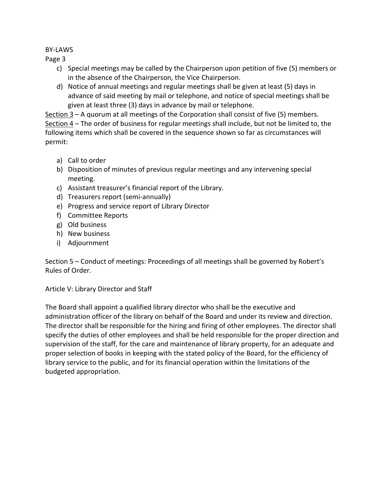## BY-LAWS

Page 3

- c) Special meetings may be called by the Chairperson upon petition of five (5) members or in the absence of the Chairperson, the Vice Chairperson.
- d) Notice of annual meetings and regular meetings shall be given at least (5) days in advance of said meeting by mail or telephone, and notice of special meetings shall be given at least three (3) days in advance by mail or telephone.

Section 3 – A quorum at all meetings of the Corporation shall consist of five (5) members. Section 4 – The order of business for regular meetings shall include, but not be limited to, the following items which shall be covered in the sequence shown so far as circumstances will permit:

- a) Call to order
- b) Disposition of minutes of previous regular meetings and any intervening special meeting.
- c) Assistant treasurer's financial report of the Library.
- d) Treasurers report (semi-annually)
- e) Progress and service report of Library Director
- f) Committee Reports
- g) Old business
- h) New business
- i) Adjournment

Section 5 – Conduct of meetings: Proceedings of all meetings shall be governed by Robert's Rules of Order.

Article V: Library Director and Staff

The Board shall appoint a qualified library director who shall be the executive and administration officer of the library on behalf of the Board and under its review and direction. The director shall be responsible for the hiring and firing of other employees. The director shall specify the duties of other employees and shall be held responsible for the proper direction and supervision of the staff, for the care and maintenance of library property, for an adequate and proper selection of books in keeping with the stated policy of the Board, for the efficiency of library service to the public, and for its financial operation within the limitations of the budgeted appropriation.